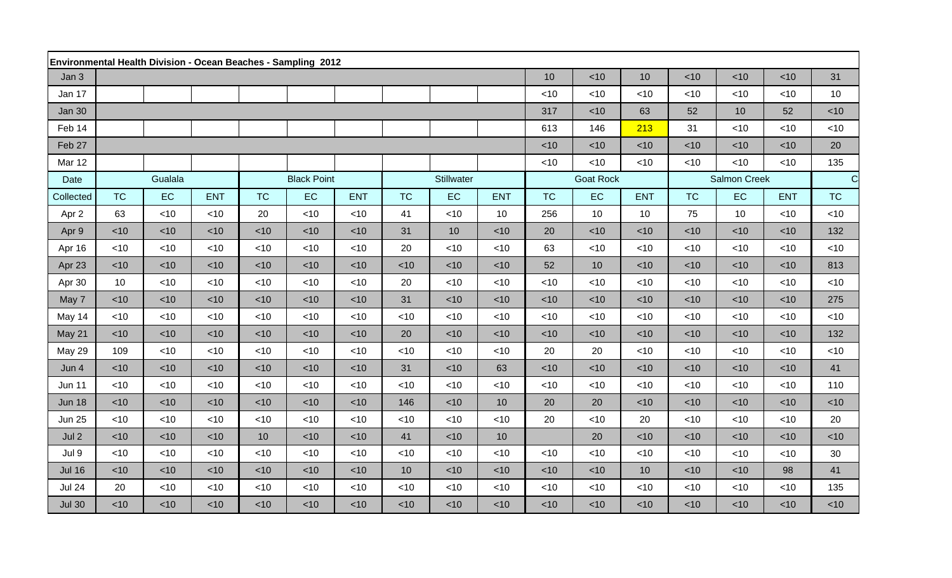| <b>Environmental Health Division - Ocean Beaches - Sampling 2012</b> |                 |        |            |                    |        |            |           |                  |            |                     |           |            |             |        |            |           |
|----------------------------------------------------------------------|-----------------|--------|------------|--------------------|--------|------------|-----------|------------------|------------|---------------------|-----------|------------|-------------|--------|------------|-----------|
| Jan 3                                                                |                 |        |            |                    |        |            |           |                  |            | 10                  | < 10      | 10         | $<$ 10      | $<$ 10 | $<$ 10     | 31        |
| Jan 17                                                               |                 |        |            |                    |        |            |           |                  |            | $<$ 10              | < 10      | $<$ 10     | $<$ 10      | < 10   | $<$ 10     | 10        |
| <b>Jan 30</b>                                                        |                 |        |            |                    |        |            |           |                  |            | 317                 | < 10      | 63         | 52          | 10     | 52         | < 10      |
| Feb 14                                                               |                 |        |            |                    |        |            |           |                  |            | 613                 | 146       | 213        | 31          | < 10   | $<$ 10     | < 10      |
| Feb 27                                                               |                 |        |            |                    |        |            |           |                  |            | $<$ 10              | < 10      | $<$ 10     | $<$ 10      | $<$ 10 | $<$ 10     | 20        |
| Mar 12                                                               |                 |        |            |                    |        |            |           |                  |            | $<$ 10              | $<$ 10    | $<$ 10     | $<$ 10      | $<$ 10 | $<$ 10     | 135       |
| Date                                                                 | Gualala         |        |            | <b>Black Point</b> |        | Stillwater |           | <b>Goat Rock</b> |            | <b>Salmon Creek</b> |           |            | $\mathbf C$ |        |            |           |
| Collected                                                            | <b>TC</b>       | EC     | <b>ENT</b> | <b>TC</b>          | EC     | <b>ENT</b> | <b>TC</b> | <b>EC</b>        | <b>ENT</b> | <b>TC</b>           | <b>EC</b> | <b>ENT</b> | <b>TC</b>   | EC     | <b>ENT</b> | <b>TC</b> |
| Apr 2                                                                | 63              | $<$ 10 | <10        | 20                 | $<$ 10 | $<$ 10     | 41        | $<$ 10           | 10         | 256                 | 10        | 10         | 75          | 10     | $<$ 10     | < 10      |
| Apr 9                                                                | < 10            | $<$ 10 | $<$ 10     | ~10                | < 10   | < 10       | 31        | 10               | < 10       | 20                  | ~10       | $<$ 10     | $<$ 10      | $<$ 10 | $<$ 10     | 132       |
| Apr 16                                                               | < 10            | <10    | <10        | $<$ 10             | $<$ 10 | < 10       | 20        | <10              | < 10       | 63                  | < 10      | $<$ 10     | $<$ 10      | $<$ 10 | $<$ 10     | < 10      |
| Apr 23                                                               | < 10            | <10    | <10        | < 10               | <10    | < 10       | $<$ 10    | <10              | $<$ 10     | 52                  | 10        | <10        | $<$ 10      | $<$ 10 | $<$ 10     | 813       |
| Apr 30                                                               | 10 <sup>°</sup> | <10    | <10        | $<$ 10             | <10    | $<$ 10     | 20        | <10              | $<$ 10     | <10                 | < 10      | <10        | $<$ 10      | $<$ 10 | $<$ 10     | $<$ 10    |
| May 7                                                                | < 10            | $<$ 10 | < 10       | $<$ 10             | $<$ 10 | $<$ 10     | 31        | $<$ 10           | $<$ 10     | $<$ 10              | < 10      | $<$ 10     | $<$ 10      | $<$ 10 | $<$ 10     | 275       |
| May 14                                                               | < 10            | <10    | <10        | < 10               | <10    | < 10       | <10       | <10              | < 10       | $<$ 10              | < 10      | <10        | $<$ 10      | $<$ 10 | $<$ 10     | < 10      |
| May 21                                                               | < 10            | <10    | <10        | <10                | $<$ 10 | < 10       | 20        | <10              | <10        | < 10                | < 10      | <10        | <10         | < 10   | <10        | 132       |
| <b>May 29</b>                                                        | 109             | $<$ 10 | <10        | $<$ 10             | $<$ 10 | < 10       | $<$ 10    | $<$ 10           | < 10       | 20                  | 20        | $<$ 10     | $<$ 10      | $<$ 10 | $<$ 10     | < 10      |
| Jun 4                                                                | < 10            | $<$ 10 | < 10       | $<$ 10             | $<$ 10 | < 10       | 31        | $<$ 10           | 63         | $<$ 10              | < 10      | $<$ 10     | $<$ 10      | $<$ 10 | $<$ 10     | 41        |
| <b>Jun 11</b>                                                        | $<$ 10          | <10    | $<$ 10     | < 10               | $<$ 10 | < 10       | < 10      | <10              | $<$ 10     | $<$ 10              | < 10      | $<$ 10     | $<$ 10      | $<$ 10 | $<$ 10     | 110       |
| <b>Jun 18</b>                                                        | < 10            | < 10   | < 10       | $<$ 10             | $<$ 10 | < 10       | 146       | <10              | 10         | 20                  | 20        | $<$ 10     | $<$ 10      | $<$ 10 | $<$ 10     | < 10      |
| <b>Jun 25</b>                                                        | $<$ 10          | <10    | <10        | <10                | <10    | < 10       | <10       | <10              | < 10       | 20                  | < 10      | 20         | <10         | <10    | <10        | 20        |
| Jul <sub>2</sub>                                                     | ~10             | $<$ 10 | < 10       | 10 <sup>1</sup>    | $<$ 10 | < 10       | 41        | $<$ 10           | 10         |                     | 20        | < 10       | $<$ 10      | $<$ 10 | $<$ 10     | < 10      |
| Jul 9                                                                | < 10            | <10    | <10        | < 10               | $<$ 10 | < 10       | < 10      | <10              | $<$ 10     | $<$ 10              | < 10      | <10        | $<$ 10      | $<$ 10 | $<$ 10     | 30        |
| <b>Jul 16</b>                                                        | < 10            | <10    | <10        | $<$ 10             | $<$ 10 | $<$ 10     | 10        | <10              | < 10       | $<$ 10              | < 10      | 10         | $<$ 10      | $<$ 10 | 98         | 41        |
| <b>Jul 24</b>                                                        | 20              | <10    | <10        | $<$ 10             | $<$ 10 | $<$ 10     | <10       | <10              | $<$ 10     | $<$ 10              | < 10      | $<$ 10     | $<$ 10      | $<$ 10 | $<$ 10     | 135       |
| <b>Jul 30</b>                                                        | $<$ 10          | $<$ 10 | $<$ 10     | $<$ 10             | $<$ 10 | $<$ 10     | $<$ 10    | $<$ 10           | $<$ 10     | $<$ 10              | < 10      | $<$ 10     | $<$ 10      | $<$ 10 | <10        | $<$ 10    |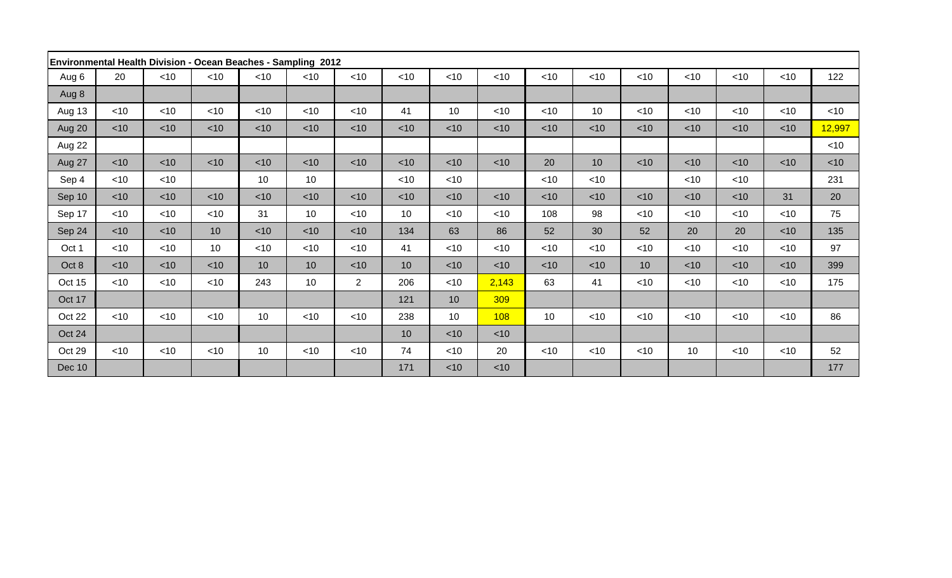| Environmental Health Division - Ocean Beaches - Sampling 2012 |        |        |                 |        |        |                |        |                 |        |                 |                 |                 |        |        |        |        |
|---------------------------------------------------------------|--------|--------|-----------------|--------|--------|----------------|--------|-----------------|--------|-----------------|-----------------|-----------------|--------|--------|--------|--------|
| Aug 6                                                         | 20     | $<$ 10 | < 10            | $<$ 10 | $<$ 10 | $<$ 10         | $<$ 10 | $<$ 10          | < 10   | $<$ 10          | $<$ 10          | $<$ 10          | $<$ 10 | $<$ 10 | $<$ 10 | 122    |
| Aug 8                                                         |        |        |                 |        |        |                |        |                 |        |                 |                 |                 |        |        |        |        |
| Aug 13                                                        | $<$ 10 | $<$ 10 | < 10            | $<$ 10 | $<$ 10 | $<$ 10         | 41     | 10              | $<$ 10 | $<$ 10          | 10 <sup>°</sup> | $<$ 10          | $<$ 10 | $<$ 10 | $<$ 10 | $<$ 10 |
| Aug 20                                                        | $<$ 10 | $<$ 10 | $<$ 10          | $<$ 10 | $<$ 10 | $<$ 10         | $<$ 10 | $<$ 10          | $<$ 10 | $<$ 10          | $<$ 10          | $<$ 10          | $<$ 10 | $<$ 10 | $<$ 10 | 12,997 |
| Aug 22                                                        |        |        |                 |        |        |                |        |                 |        |                 |                 |                 |        |        |        | $<$ 10 |
| Aug 27                                                        | $<$ 10 | $<$ 10 | $<$ 10          | $<$ 10 | $<$ 10 | $<$ 10         | < 10   | $<$ 10          | $<$ 10 | 20              | 10 <sup>°</sup> | $<$ 10          | $<$ 10 | $<$ 10 | $<$ 10 | $<$ 10 |
| Sep 4                                                         | $<$ 10 | $<$ 10 |                 | 10     | 10     |                | $<$ 10 | $<$ 10          |        | $<$ 10          | $<$ 10          |                 | $<$ 10 | $<$ 10 |        | 231    |
| Sep 10                                                        | $<$ 10 | $<$ 10 | < 10            | $<$ 10 | < 10   | $<$ 10         | < 10   | $<$ 10          | $<$ 10 | $<$ 10          | $<$ 10          | $<$ 10          | $<$ 10 | $<$ 10 | 31     | 20     |
| Sep 17                                                        | $<$ 10 | $<$ 10 | < 10            | 31     | 10     | $<$ 10         | 10     | $<$ 10          | $<$ 10 | 108             | 98              | $<$ 10          | $<$ 10 | $<$ 10 | $<$ 10 | 75     |
| Sep 24                                                        | $<$ 10 | $<$ 10 | 10 <sup>1</sup> | $<$ 10 | $<$ 10 | $<$ 10         | 134    | 63              | 86     | 52              | 30              | 52              | 20     | 20     | $<$ 10 | 135    |
| Oct 1                                                         | $<$ 10 | $<$ 10 | 10 <sup>°</sup> | $<$ 10 | $<$ 10 | <10            | 41     | $<$ 10          | $<$ 10 | $<$ 10          | $<$ 10          | $<$ 10          | $<$ 10 | $<$ 10 | $<$ 10 | 97     |
| Oct 8                                                         | $<$ 10 | $<$ 10 | < 10            | 10     | 10     | $<$ 10         | 10     | $<$ 10          | $<$ 10 | $<$ 10          | $<$ 10          | 10 <sup>°</sup> | $<$ 10 | $<$ 10 | $<$ 10 | 399    |
| Oct 15                                                        | $<$ 10 | $<$ 10 | $<$ 10          | 243    | 10     | $\overline{2}$ | 206    | $<$ 10          | 2,143  | 63              | 41              | $<$ 10          | $<$ 10 | $<$ 10 | $<$ 10 | 175    |
| Oct 17                                                        |        |        |                 |        |        |                | 121    | 10              | 309    |                 |                 |                 |        |        |        |        |
| Oct 22                                                        | $<$ 10 | $<$ 10 | $<$ 10          | 10     | $<$ 10 | $<$ 10         | 238    | 10 <sup>1</sup> | 108    | 10 <sup>°</sup> | $<$ 10          | $<$ 10          | $<$ 10 | $<$ 10 | $<$ 10 | 86     |
| Oct 24                                                        |        |        |                 |        |        |                | 10     | $<$ 10          | $<$ 10 |                 |                 |                 |        |        |        |        |
| Oct 29                                                        | $<$ 10 | $<$ 10 | $<$ 10          | 10     | $<$ 10 | $<$ 10         | 74     | $<$ 10          | 20     | $<$ 10          | $<$ 10          | $<$ 10          | 10     | $<$ 10 | ~10    | 52     |
| <b>Dec 10</b>                                                 |        |        |                 |        |        |                | 171    | $<$ 10          | $<$ 10 |                 |                 |                 |        |        |        | 177    |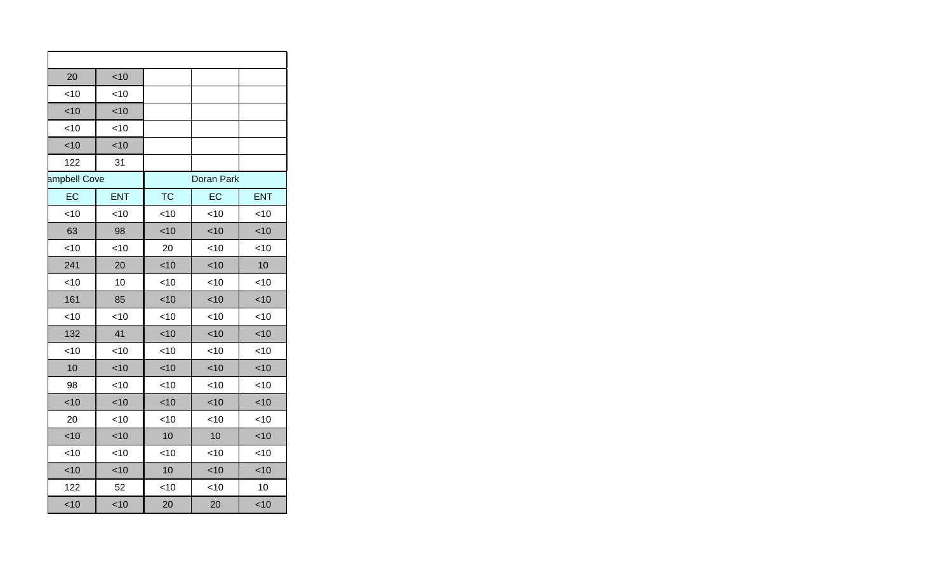| 20           | < 10       |           |                   |            |
|--------------|------------|-----------|-------------------|------------|
| $<$ 10       | $<$ 10     |           |                   |            |
| < 10         | < 10       |           |                   |            |
| $<$ 10       | $<$ 10     |           |                   |            |
| < 10         | < 10       |           |                   |            |
| 122          | 31         |           |                   |            |
| ampbell Cove |            |           | <b>Doran Park</b> |            |
| EC           | <b>ENT</b> | <b>TC</b> | EC                | <b>ENT</b> |
| <10          | < 10       | < 10      | < 10              | < 10       |
| 63           | 98         | < 10      | < 10              | < 10       |
| <10          | < 10       | 20        | < 10              | < 10       |
| 241          | 20         | <10       | <10               | 10         |
| <10          | 10         | < 10      | < 10              | < 10       |
| 161          | 85         | < 10      | < 10              | < 10       |
| <10          | <10        | $<$ 10    | < 10              | < 10       |
| 132          | 41         | < 10      | < 10              | < 10       |
| <10          | $<$ 10     | < 10      | <10               | < 10       |
| 10           | < 10       | < 10      | < 10              | < 10       |
| 98           | < 10       | < 10      | < 10              | < 10       |
| < 10         | < 10       | < 10      | < 10              | < 10       |
| 20           | < 10       | < 10      | < 10              | $<$ 10     |
| < 10         | < 10       | 10        | 10                | < 10       |
| < 10         | < 10       | < 10      | < 10              | < 10       |
| < 10         | < 10       | 10        | < 10              | < 10       |
| 122          | 52         | < 10      | < 10              | 10         |
| < 10         | < 10       | 20        | 20                | < 10       |